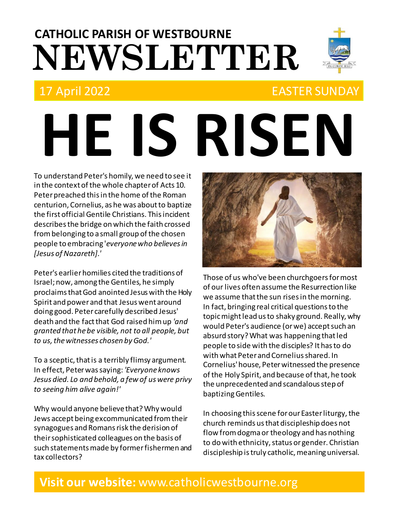# **NEWSLETTER CATHOLIC PARISH OF WESTBOURNE**

# 17 April 2022 EASTER SUNDAY

# **HE IS RISEN**

To understand Peter's homily, we need to see it in the context of the whole chapter of Acts 10. Peter preached this in the home of the Roman centurion, Cornelius, as he was about to baptize the first official Gentile Christians. This incident describes the bridge on which the faith crossed from belonging to a small group of the chosen people to embracing '*everyone who believes in [Jesus of Nazareth].'*

Peter's earlier homilies cited the traditions of Israel; now, among the Gentiles, he simply proclaims that God anointed Jesus with the Holy Spirit and power and that Jesus went around doing good. Peter carefully described Jesus' death and the fact that God raised him up *'and granted that he be visible, not to all people, but to us, the witnesses chosen by God.'*

To a sceptic, that is a terribly flimsy argument. In effect, Peter was saying: *'Everyone knows Jesus died. Lo and behold, a few of us were privy to seeing him alive again!'*

Why would anyone believe that? Why would Jews accept being excommunicated from their synagogues and Romans risk the derision of their sophisticated colleagues on the basis of such statements made by former fishermen and tax collectors?



Those of us who've been churchgoers for most of our lives often assume the Resurrection like we assume that the sun rises in the morning. In fact, bringing real critical questions to the topic might lead us to shaky ground. Really, why would Peter's audience (or we) accept such an absurd story? What was happening that led people to side with the disciples? It has to do with what Peter and Cornelius shared. In Cornelius' house, Peter witnessed the presence of the Holy Spirit, and because of that, he took the unprecedented and scandalous step of baptizing Gentiles.

In choosing this scene for our Easter liturgy, the church reminds us that discipleship does not flow from dogma or theology and has nothing to do with ethnicity, status or gender. Christian discipleship is truly catholic, meaning universal.

### **Visit our website:** www.catholicwestbourne.org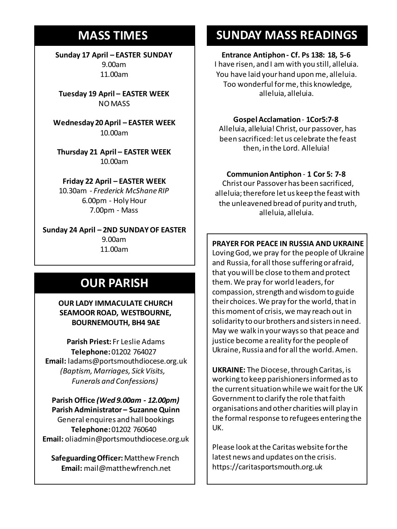## **MASS TIMES**

**Sunday 17 April – EASTER SUNDAY** 9.00am 11.00am

**Tuesday 19 April – EASTER WEEK** NO MASS

**Sunday 11th 9am:** *The Parish* 10.00am **11am** *Tim Mc Cann* **Wednesday 20 April – EASTER WEEK**

**Wednesday 14th** *Repose of the souls of*  **Thursday 21 April – EASTER WEEK** *Bernard Charles and Elsie May Pratt* 10.00am **Saturday 16th** *Rosemarie Schofield RIP*

**Sunday 18th 11am** *The Parish*  **Friday 22 April – EASTER WEEK** 10.30am - *Frederick McShane RIP* 6.00pm - Holy Hour 7.00pm - Mass

**Sunday 24 April – 2ND SUNDAY OF EASTER** 9.00am 11.00am

# **OUR PARISH**

**OUR LADY IMMACULATE CHURCH SEAMOOR ROAD, WESTBOURNE, BOURNEMOUTH, BH4 9AE**

**Parish Priest:** Fr Leslie Adams **Telephone:**01202 764027 **Email:** ladams@portsmouthdiocese.org.uk *(Baptism, Marriages, Sick Visits, Funerals and Confessions)*

**Parish Office** *(Wed 9.00am - 12.00pm)* **Parish Administrator – Suzanne Quinn** General enquires andhall bookings **Telephone:**01202 760640 **Email:** oliadmin@portsmouthdiocese.org.uk

**Safeguarding Officer:**Matthew French **Email:** mail@matthewfrench.net

# **SUNDAY MASS READINGS**

#### **Entrance Antiphon - Cf. Ps 138: 18, 5-6**

I have risen, and I am with you still, alleluia. You have laid your hand upon me, alleluia. Too wonderful for me, this knowledge, alleluia, alleluia.

#### **Gospel Acclamation**- **1Cor5:7-8**

Alleluia, alleluia! Christ, our passover, has been sacrificed: let us celebrate the feast then, in the Lord. Alleluia!

#### **Communion Antiphon** - **1 Cor 5: 7-8**

Christ our Passover has been sacrificed, alleluia; therefore let us keep the feast with the unleavened bread of purity and truth, alleluia, alleluia.

#### **PRAYER FOR PEACE IN RUSSIA AND UKRAINE**

Loving God, we pray for the people of Ukraine and Russia, for all those suffering or afraid, that you will be close to them and protect them. We pray for world leaders, for compassion, strength and wisdom to guide their choices. We pray for the world, that in this moment of crisis, we may reach out in solidarity to our brothers and sisters in need. May we walk in your ways so that peace and justice become a reality for the people of Ukraine, Russia and for all the world. Amen.

**UKRAINE:** The Diocese, through Caritas, is working to keep parishioners informed as to the current situation while we wait for the UK Government to clarify the role that faith organisations and other charities will play in the formal response to refugees entering the UK.

Please look at the Caritas website for the latest news and updates on the crisis. https://caritasportsmouth.org.uk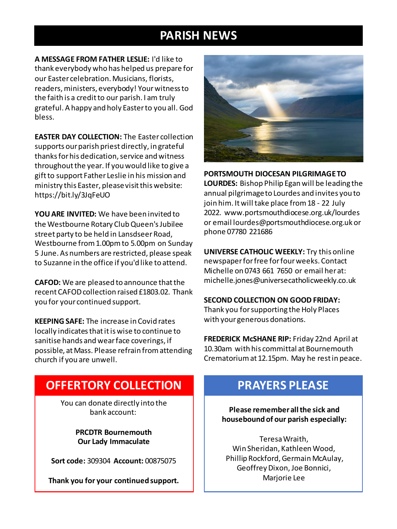# **PARISH NEWS**

**A MESSAGE FROM FATHER LESLIE:** I'd like to thank everybody who has helped us prepare for our Easter celebration. Musicians, florists, readers, ministers, everybody! Yourwitness to the faith is a credit to our parish. I am truly grateful. A happy and holy Easter to you all. God bless.

**EASTER DAY COLLECTION:** The Easter collection supports our parish priest directly, in grateful thanks for his dedication, service and witness throughout the year. If you would like to give a gift to support Father Leslie in his mission and ministry this Easter, please visit this website: https://bit.ly/3JqFeUO

**YOU ARE INVITED:** We have been invited to the Westbourne Rotary Club Queen's Jubilee street party to be held in Lansdseer Road, Westbourne from 1.00pm to 5.00pm on Sunday 5 June. As numbers are restricted, please speak to Suzanne in the office if you'd like to attend.

**CAFOD:** We are pleased to announce that the recent CAFOD collection raised £1803.02. Thank you for your continued support.

**KEEPING SAFE:** The increase in Covid rates locally indicates that it is wise to continue to sanitise hands and wear face coverings, if possible, at Mass. Please refrain from attending church if you are unwell.



**PORTSMOUTH DIOCESAN PILGRIMAGE TO** 

**LOURDES:** Bishop Philip Egan will be leading the annual pilgrimage to Lourdes and invites you to join him. It will take place from 18 - 22 July 2022. www.portsmouthdiocese.org.uk/lourdes or email lourdes@portsmouthdiocese.org.uk or phone 07780 221686

**UNIVERSE CATHOLIC WEEKLY:** Try this online newspaper for free for four weeks. Contact Michelle on 0743 661 7650 or email her at: michelle.jones@universecatholicweekly.co.uk

#### **SECOND COLLECTION ON GOOD FRIDAY:**

Thank you forsupporting the Holy Places with your generous donations.

**FREDERICK McSHANE RIP:** Friday 22nd April at 10.30am with his committal at Bournemouth Crematorium at 12.15pm. May he rest in peace.

# **OFFERTORY COLLECTION**

You can donate directly into the bank account:

> **PRCDTR Bournemouth Our Lady Immaculate**

**Sort code:** 309304 **Account:** 00875075

**Thank you for your continued support.**

# **PRAYERS PLEASE**

**Please remember all the sick and housebound of our parish especially:**

Teresa Wraith, Win Sheridan, Kathleen Wood, Phillip Rockford, Germain McAulay, Geoffrey Dixon, Joe Bonnici, Marjorie Lee